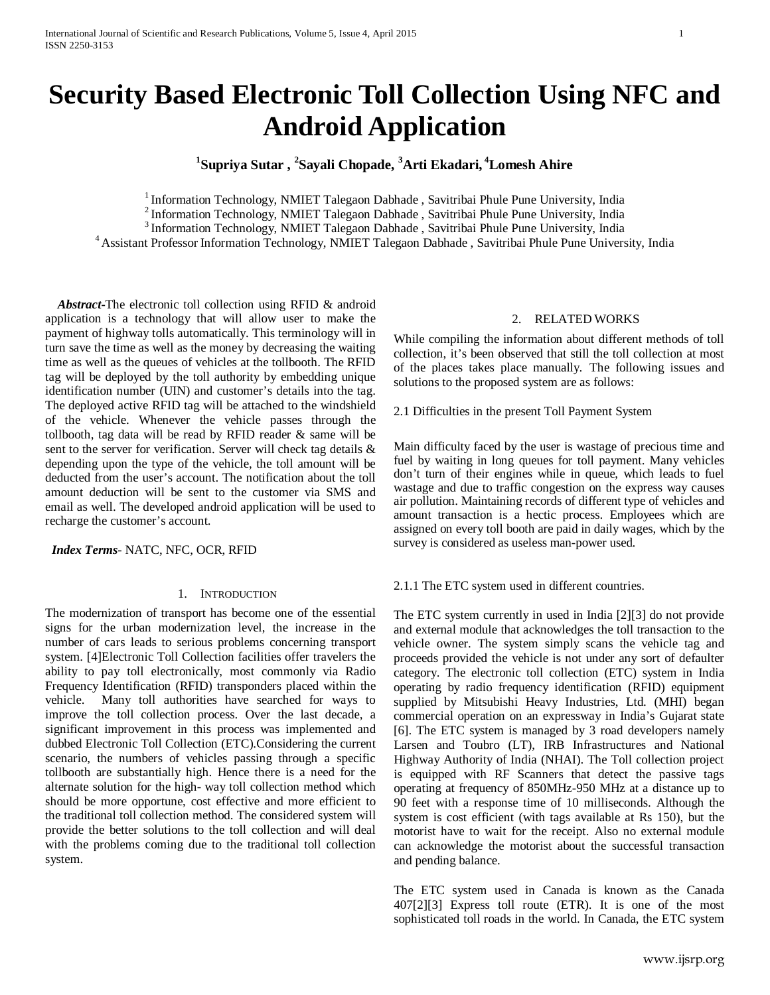# **Security Based Electronic Toll Collection Using NFC and Android Application**

## **1 Supriya Sutar , <sup>2</sup> Sayali Chopade, <sup>3</sup> Arti Ekadari, <sup>4</sup> Lomesh Ahire**

<sup>1</sup> Information Technology, NMIET Talegaon Dabhade , Savitribai Phule Pune University, India<br><sup>2</sup> Information Technology, NMIET Talegaon Dabhade , Savitribai Phule Pune University, India<br><sup>3</sup> Information Technology, NMIET Ta

 *Abstract***-**The electronic toll collection using RFID & android application is a technology that will allow user to make the payment of highway tolls automatically. This terminology will in turn save the time as well as the money by decreasing the waiting time as well as the queues of vehicles at the tollbooth. The RFID tag will be deployed by the toll authority by embedding unique identification number (UIN) and customer's details into the tag. The deployed active RFID tag will be attached to the windshield of the vehicle. Whenever the vehicle passes through the tollbooth, tag data will be read by RFID reader & same will be sent to the server for verification. Server will check tag details & depending upon the type of the vehicle, the toll amount will be deducted from the user's account. The notification about the toll amount deduction will be sent to the customer via SMS and email as well. The developed android application will be used to recharge the customer's account.

*Index Terms*- NATC, NFC, OCR, RFID

## 1. INTRODUCTION

The modernization of transport has become one of the essential signs for the urban modernization level, the increase in the number of cars leads to serious problems concerning transport system. [4]Electronic Toll Collection facilities offer travelers the ability to pay toll electronically, most commonly via Radio Frequency Identification (RFID) transponders placed within the vehicle. Many toll authorities have searched for ways to improve the toll collection process. Over the last decade, a significant improvement in this process was implemented and dubbed Electronic Toll Collection (ETC).Considering the current scenario, the numbers of vehicles passing through a specific tollbooth are substantially high. Hence there is a need for the alternate solution for the high- way toll collection method which should be more opportune, cost effective and more efficient to the traditional toll collection method. The considered system will provide the better solutions to the toll collection and will deal with the problems coming due to the traditional toll collection system.

## 2. RELATED WORKS

While compiling the information about different methods of toll collection, it's been observed that still the toll collection at most of the places takes place manually. The following issues and solutions to the proposed system are as follows:

2.1 Difficulties in the present Toll Payment System

Main difficulty faced by the user is wastage of precious time and fuel by waiting in long queues for toll payment. Many vehicles don't turn of their engines while in queue, which leads to fuel wastage and due to traffic congestion on the express way causes air pollution. Maintaining records of different type of vehicles and amount transaction is a hectic process. Employees which are assigned on every toll booth are paid in daily wages, which by the survey is considered as useless man-power used.

2.1.1 The ETC system used in different countries.

The ETC system currently in used in India [2][3] do not provide and external module that acknowledges the toll transaction to the vehicle owner. The system simply scans the vehicle tag and proceeds provided the vehicle is not under any sort of defaulter category. The electronic toll collection (ETC) system in India operating by radio frequency identification (RFID) equipment supplied by Mitsubishi Heavy Industries, Ltd. (MHI) began commercial operation on an expressway in India's Gujarat state [6]. The ETC system is managed by 3 road developers namely Larsen and Toubro (LT), IRB Infrastructures and National Highway Authority of India (NHAI). The Toll collection project is equipped with RF Scanners that detect the passive tags operating at frequency of 850MHz-950 MHz at a distance up to 90 feet with a response time of 10 milliseconds. Although the system is cost efficient (with tags available at Rs 150), but the motorist have to wait for the receipt. Also no external module can acknowledge the motorist about the successful transaction and pending balance.

The ETC system used in Canada is known as the Canada 407[2][3] Express toll route (ETR). It is one of the most sophisticated toll roads in the world. In Canada, the ETC system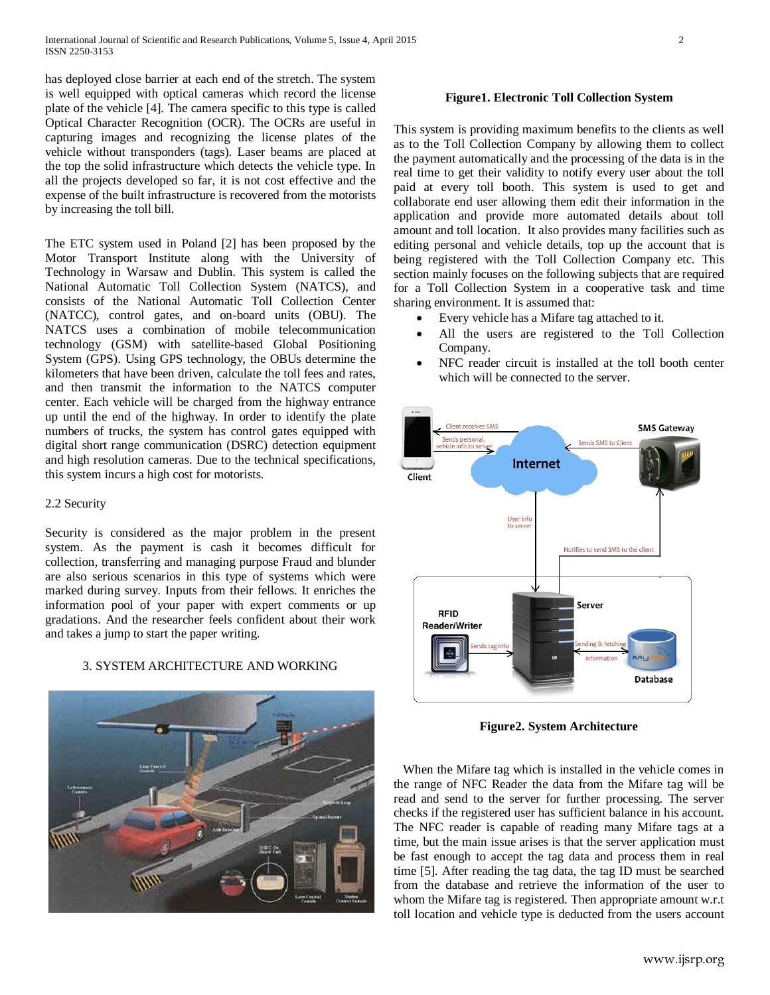has deployed close barrier at each end of the stretch. The system is well equipped with optical cameras which record the license plate of the vehicle [4]. The camera specific to this type is called Optical Character Recognition (OCR). The OCRs are useful in capturing images and recognizing the license plates of the vehicle without transponders (tags). Laser beams are placed at the top the solid infrastructure which detects the vehicle type. In all the projects developed so far, it is not cost effective and the expense of the built infrastructure is recovered from the motorists by increasing the toll bill.

The ETC system used in Poland [2] has been proposed by the Motor Transport Institute along with the University of Technology in Warsaw and Dublin. This system is called the National Automatic Toll Collection System (NATCS), and consists of the National Automatic Toll Collection Center (NATCC), control gates, and on-board units (OBU). The NATCS uses a combination of mobile telecommunication technology (GSM) with satellite-based Global Positioning System (GPS). Using GPS technology, the OBUs determine the kilometers that have been driven, calculate the toll fees and rates, and then transmit the information to the NATCS computer center. Each vehicle will be charged from the highway entrance up until the end of the highway. In order to identify the plate numbers of trucks, the system has control gates equipped with digital short range communication (DSRC) detection equipment and high resolution cameras. Due to the technical specifications, this system incurs a high cost for motorists.

#### 2.2 Security

Security is considered as the major problem in the present system. As the payment is cash it becomes difficult for collection, transferring and managing purpose Fraud and blunder are also serious scenarios in this type of systems which were marked during survey. Inputs from their fellows. It enriches the information pool of your paper with expert comments or up gradations. And the researcher feels confident about their work and takes a jump to start the paper writing.

#### 3. SYSTEM ARCHITECTURE AND WORKING



#### **Figure1. Electronic Toll Collection System**

This system is providing maximum benefits to the clients as well as to the Toll Collection Company by allowing them to collect the payment automatically and the processing of the data is in the real time to get their validity to notify every user about the toll paid at every toll booth. This system is used to get and collaborate end user allowing them edit their information in the application and provide more automated details about toll amount and toll location. It also provides many facilities such as editing personal and vehicle details, top up the account that is being registered with the Toll Collection Company etc. This section mainly focuses on the following subjects that are required for a Toll Collection System in a cooperative task and time sharing environment. It is assumed that:

- Every vehicle has a Mifare tag attached to it.
- All the users are registered to the Toll Collection Company.
- NFC reader circuit is installed at the toll booth center which will be connected to the server.



**Figure2. System Architecture**

When the Mifare tag which is installed in the vehicle comes in the range of NFC Reader the data from the Mifare tag will be read and send to the server for further processing. The server checks if the registered user has sufficient balance in his account. The NFC reader is capable of reading many Mifare tags at a time, but the main issue arises is that the server application must be fast enough to accept the tag data and process them in real time [5]. After reading the tag data, the tag ID must be searched from the database and retrieve the information of the user to whom the Mifare tag is registered. Then appropriate amount w.r.t toll location and vehicle type is deducted from the users account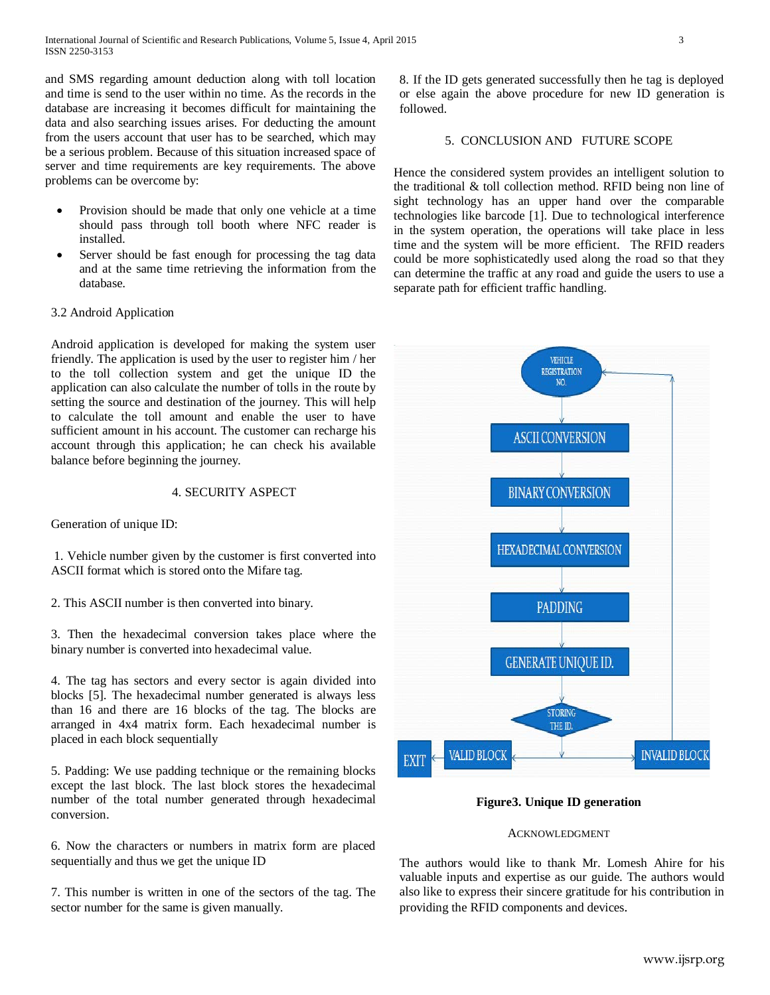and SMS regarding amount deduction along with toll location and time is send to the user within no time. As the records in the database are increasing it becomes difficult for maintaining the data and also searching issues arises. For deducting the amount from the users account that user has to be searched, which may be a serious problem. Because of this situation increased space of server and time requirements are key requirements. The above problems can be overcome by:

- Provision should be made that only one vehicle at a time should pass through toll booth where NFC reader is installed.
- Server should be fast enough for processing the tag data and at the same time retrieving the information from the database.

## 3.2 Android Application

Android application is developed for making the system user friendly. The application is used by the user to register him / her to the toll collection system and get the unique ID the application can also calculate the number of tolls in the route by setting the source and destination of the journey. This will help to calculate the toll amount and enable the user to have sufficient amount in his account. The customer can recharge his account through this application; he can check his available balance before beginning the journey.

## 4. SECURITY ASPECT

Generation of unique ID:

1. Vehicle number given by the customer is first converted into ASCII format which is stored onto the Mifare tag.

2. This ASCII number is then converted into binary.

3. Then the hexadecimal conversion takes place where the binary number is converted into hexadecimal value.

4. The tag has sectors and every sector is again divided into blocks [5]. The hexadecimal number generated is always less than 16 and there are 16 blocks of the tag. The blocks are arranged in 4x4 matrix form. Each hexadecimal number is placed in each block sequentially

5. Padding: We use padding technique or the remaining blocks except the last block. The last block stores the hexadecimal number of the total number generated through hexadecimal conversion.

6. Now the characters or numbers in matrix form are placed sequentially and thus we get the unique ID

7. This number is written in one of the sectors of the tag. The sector number for the same is given manually.

8. If the ID gets generated successfully then he tag is deployed or else again the above procedure for new ID generation is followed.

#### 5. CONCLUSION AND FUTURE SCOPE

Hence the considered system provides an intelligent solution to the traditional & toll collection method. RFID being non line of sight technology has an upper hand over the comparable technologies like barcode [1]. Due to technological interference in the system operation, the operations will take place in less time and the system will be more efficient. The RFID readers could be more sophisticatedly used along the road so that they can determine the traffic at any road and guide the users to use a separate path for efficient traffic handling.



## **Figure3. Unique ID generation**

#### ACKNOWLEDGMENT

The authors would like to thank Mr. Lomesh Ahire for his valuable inputs and expertise as our guide. The authors would also like to express their sincere gratitude for his contribution in providing the RFID components and devices.